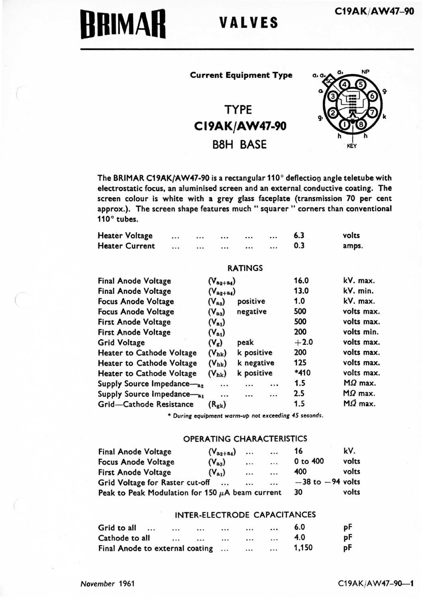# BRIMAR VALVES

# Current Equipment Type

# TYPE C 19AK/AW47-90 68H BASE



The BRIMAR C19AK/AW47-90 is a rectangular 110° deflection angle teletube with electrostatic focus, an aluminised screen and an external. conductive coating. The screen colour is white with a grey glazs faceplate (transmission 70 per cent approx.). The screen shape features much "squarer " corners than conventional 110° tubes.

| <b>Heater Voltage</b> |          | $\cdots$ | $\cdots$          | $\cdots$ | $\cdots$ | 6.3 | volts |
|-----------------------|----------|----------|-------------------|----------|----------|-----|-------|
| <b>Heater Current</b> | $\cdots$ |          | $\cdots$ $\cdots$ | $\cdots$ | $\cdots$ | 0.3 | amps. |
|                       |          |          |                   |          |          |     |       |

# RATINGS

| <b>Final Anode Voltage</b>       | $(V_{a_2+a_4})$ |            | 16.0    | kV. max.       |
|----------------------------------|-----------------|------------|---------|----------------|
| <b>Final Anode Voltage</b>       | $(V_{a_2+a_4})$ |            | 13.0    | kV. min.       |
| <b>Focus Anode Voltage</b>       | $(V_{\rm a3})$  | positive   | 1.0     | kV. max.       |
| <b>Focus Anode Voltage</b>       | $(V_{aa})$      | negative   | 500     | volts max.     |
| <b>First Anode Voltage</b>       | $(V_{a_1})$     |            | 500     | volts max.     |
| <b>First Anode Voltage</b>       | $(V_{a_1})$     |            | 200     | volts min.     |
| <b>Grid Voltage</b>              | $(V_g)$         | peak       | $+2.0$  | volts max.     |
| <b>Heater to Cathode Voltage</b> | $(V_{hk})$      | k positive | 200     | volts max.     |
| <b>Heater to Cathode Voltage</b> | $(V_{hk})$      | k negative | 125     | volts max.     |
| Heater to Cathode Voltage        | $(V_{hk})$      | k positive | *410    | volts max.     |
| Supply Source Impedance-as       |                 |            | <br>1.5 | $M\Omega$ max. |
| Supply Source Impedance-a1       | $\cdots$        |            | <br>2.5 | $M\Omega$ max. |
| Grid-Cathode Resistance          | $(R_{\rm g k})$ |            | 1.5     | $M\Omega$ max. |

\* During equipment warm-up not exceeding 45 seconds.

### OPERATING CHARACTERISTICS

| <b>Final Anode Voltage</b>                           | $(V_{a_2+a_4})$ | $\cdots$ | $\cdots$ | 16                   | kV.   |
|------------------------------------------------------|-----------------|----------|----------|----------------------|-------|
| <b>Focus Anode Voltage</b>                           | $(V_{aa})$      | $\cdots$ | $\cdots$ | 0 to 400             | volts |
| <b>First Anode Voltage</b>                           | $(V_{a_1})$     | $\cdots$ | $\cdots$ | 400                  | volts |
| Grid Voltage for Raster cut-off                      | $\cdots$        | $\cdots$ | $\cdots$ | $-38$ to $-94$ volts |       |
| Peak to Peak Modulation for 150 $\mu$ A beam current | 30              | volts    |          |                      |       |

# INTER-ELECTRODE CAPACITANCES

| Grid to all                     | $\cdots$ | $\cdots$ |          | $\cdots$ |          | $\cdots$ | 6.0   | рF |
|---------------------------------|----------|----------|----------|----------|----------|----------|-------|----|
| Cathode to all                  |          | $\cdots$ | $\cdots$ |          | $\cdots$ |          | 4.0   | рF |
| Final Anode to external coating |          |          |          |          | $\cdots$ | $\cdots$ | 1.150 | рF |